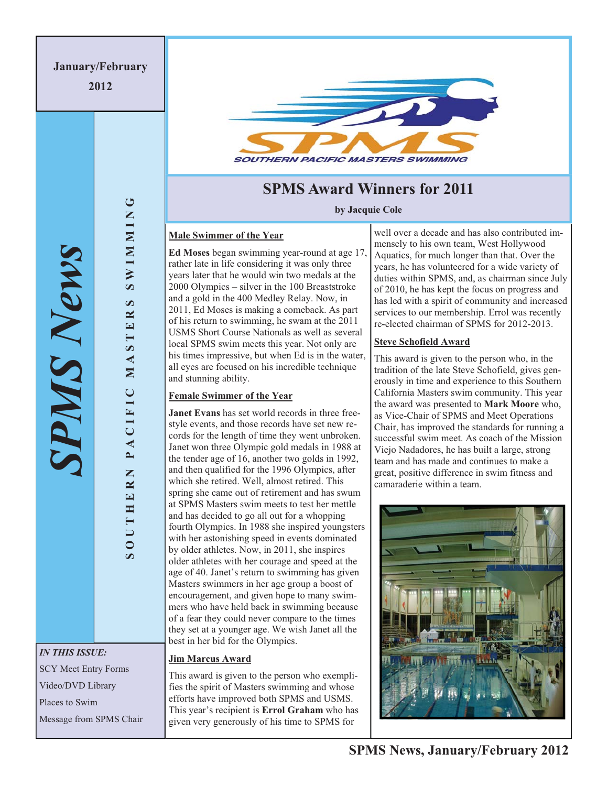**2012** 

*IN THIS ISSUE:* 

*SPMS News*

PMS News

**SOUTHERN PACIFIC MASTERS SWIMMING**

PACIFIC

OUTHERN

MASTE

 $\circ$ 

**NIMMIN** 

 $\boldsymbol{\omega}$  $\approx$ 

SCY Meet Entry Forms

Video/DVD Library

Places to Swim

Message from SPMS Chair



# **SPMS Award Winners for 2011**

**by Jacquie Cole** 

## **Male Swimmer of the Year**

**Ed Moses** began swimming year-round at age 17, rather late in life considering it was only three years later that he would win two medals at the 2000 Olympics – silver in the 100 Breaststroke and a gold in the 400 Medley Relay. Now, in 2011, Ed Moses is making a comeback. As part of his return to swimming, he swam at the 2011 USMS Short Course Nationals as well as several local SPMS swim meets this year. Not only are his times impressive, but when Ed is in the water, all eyes are focused on his incredible technique and stunning ability.

## **Female Swimmer of the Year**

**Janet Evans** has set world records in three freestyle events, and those records have set new records for the length of time they went unbroken. Janet won three Olympic gold medals in 1988 at the tender age of 16, another two golds in 1992, and then qualified for the 1996 Olympics, after which she retired. Well, almost retired. This spring she came out of retirement and has swum at SPMS Masters swim meets to test her mettle and has decided to go all out for a whopping fourth Olympics. In 1988 she inspired youngsters with her astonishing speed in events dominated by older athletes. Now, in 2011, she inspires older athletes with her courage and speed at the age of 40. Janet's return to swimming has given Masters swimmers in her age group a boost of encouragement, and given hope to many swimmers who have held back in swimming because of a fear they could never compare to the times they set at a younger age. We wish Janet all the best in her bid for the Olympics.

# **Jim Marcus Award**

This award is given to the person who exemplifies the spirit of Masters swimming and whose efforts have improved both SPMS and USMS. This year's recipient is **Errol Graham** who has given very generously of his time to SPMS for

well over a decade and has also contributed immensely to his own team, West Hollywood Aquatics, for much longer than that. Over the years, he has volunteered for a wide variety of duties within SPMS, and, as chairman since July of 2010, he has kept the focus on progress and has led with a spirit of community and increased services to our membership. Errol was recently re-elected chairman of SPMS for 2012-2013.

# **Steve Schofield Award**

This award is given to the person who, in the tradition of the late Steve Schofield, gives generously in time and experience to this Southern California Masters swim community. This year the award was presented to **Mark Moore** who, as Vice-Chair of SPMS and Meet Operations Chair, has improved the standards for running a successful swim meet. As coach of the Mission Viejo Nadadores, he has built a large, strong team and has made and continues to make a great, positive difference in swim fitness and camaraderie within a team.

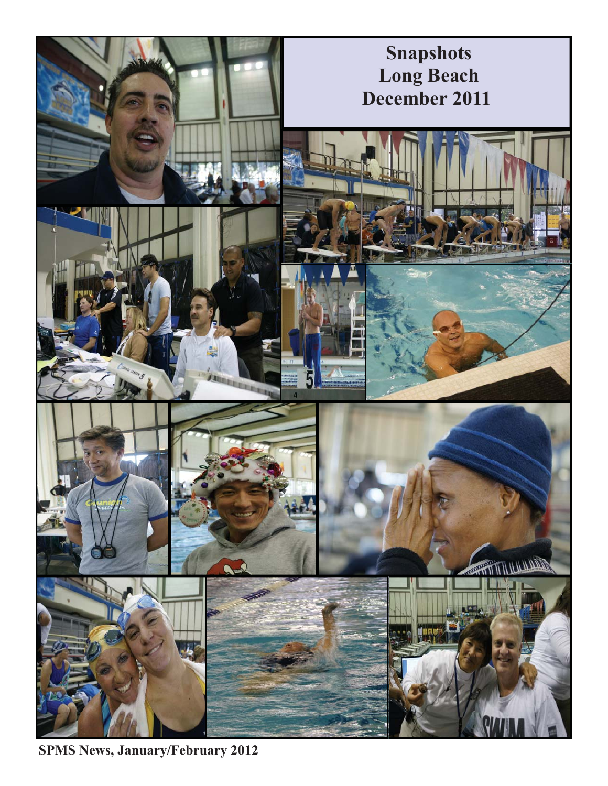

**SPMS News, January/February 2012**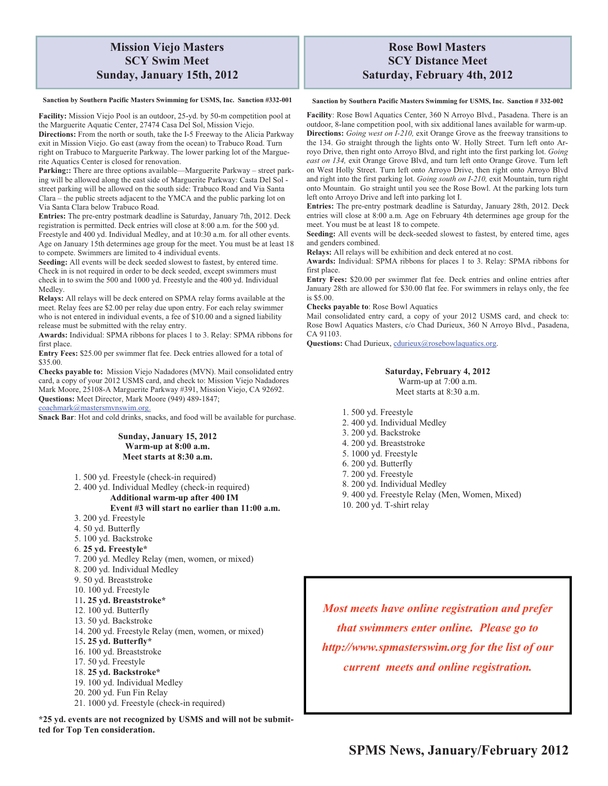# **Mission Viejo Masters SCY Swim Meet Sunday, January 15th, 2012**

#### **Sanction by Southern Pacific Masters Swimming for USMS, Inc. Sanction #332-001**

Facility: Mission Viejo Pool is an outdoor, 25-yd. by 50-m competition pool at the Marguerite Aquatic Center, 27474 Casa Del Sol, Mission Viejo.

**Directions:** From the north or south, take the I-5 Freeway to the Alicia Parkway exit in Mission Viejo. Go east (away from the ocean) to Trabuco Road. Turn right on Trabuco to Marguerite Parkway. The lower parking lot of the Marguerite Aquatics Center is closed for renovation.

**Parking::** There are three options available—Marguerite Parkway – street parking will be allowed along the east side of Marguerite Parkway: Casta Del Sol street parking will be allowed on the south side: Trabuco Road and Via Santa Clara – the public streets adjacent to the YMCA and the public parking lot on Via Santa Clara below Trabuco Road.

**Entries:** The pre-entry postmark deadline is Saturday, January 7th, 2012. Deck registration is permitted. Deck entries will close at 8:00 a.m. for the 500 yd. Freestyle and 400 yd. Individual Medley, and at 10:30 a.m. for all other events. Age on January 15th determines age group for the meet. You must be at least 18 to compete. Swimmers are limited to 4 individual events.

**Seeding:** All events will be deck seeded slowest to fastest, by entered time. Check in is not required in order to be deck seeded, except swimmers must check in to swim the 500 and 1000 yd. Freestyle and the 400 yd. Individual Medley.

**Relays:** All relays will be deck entered on SPMA relay forms available at the meet. Relay fees are \$2.00 per relay due upon entry. For each relay swimmer who is not entered in individual events, a fee of \$10.00 and a signed liability release must be submitted with the relay entry.

**Awards:** Individual: SPMA ribbons for places 1 to 3. Relay: SPMA ribbons for first place.

**Entry Fees:** \$25.00 per swimmer flat fee. Deck entries allowed for a total of \$35.00.

**Checks payable to:** Mission Viejo Nadadores (MVN). Mail consolidated entry card, a copy of your 2012 USMS card, and check to: Mission Viejo Nadadores Mark Moore, 25108-A Marguerite Parkway #391, Mission Viejo, CA 92692. **Questions:** Meet Director, Mark Moore (949) 489-1847; coachmark@mastersmvnswim.org.

**Snack Bar**: Hot and cold drinks, snacks, and food will be available for purchase.

#### **Sunday, January 15, 2012 Warm-up at 8:00 a.m. Meet starts at 8:30 a.m.**

1. 500 yd. Freestyle (check-in required)

2. 400 yd. Individual Medley (check-in required)

**Additional warm-up after 400 IM** 

#### **Event #3 will start no earlier than 11:00 a.m.**

- 3. 200 yd. Freestyle
- 4. 50 yd. Butterfly
- 5. 100 yd. Backstroke
- 6. **25 yd. Freestyle\***
- 7. 200 yd. Medley Relay (men, women, or mixed)
- 8. 200 yd. Individual Medley
- 9. 50 yd. Breaststroke
- 10. 100 yd. Freestyle

#### 11**. 25 yd. Breaststroke\***

- 12. 100 yd. Butterfly
- 13. 50 yd. Backstroke
- 14. 200 yd. Freestyle Relay (men, women, or mixed)

### 15**. 25 yd. Butterfly\***

- 16. 100 yd. Breaststroke
- 17. 50 yd. Freestyle
- 18. **25 yd. Backstroke\***
- 19. 100 yd. Individual Medley
- 20. 200 yd. Fun Fin Relay
- 21. 1000 yd. Freestyle (check-in required)

**\*25 yd. events are not recognized by USMS and will not be submitted for Top Ten consideration.** 

# **Rose Bowl Masters SCY Distance Meet Saturday, February 4th, 2012**

#### **Sanction by Southern Pacific Masters Swimming for USMS, Inc. Sanction # 332-002**

**Facility**: Rose Bowl Aquatics Center, 360 N Arroyo Blvd., Pasadena. There is an outdoor, 8-lane competition pool, with six additional lanes available for warm-up. **Directions:** *Going west on I-210,* exit Orange Grove as the freeway transitions to the 134. Go straight through the lights onto W. Holly Street. Turn left onto Arroyo Drive, then right onto Arroyo Blvd, and right into the first parking lot. *Going east on 134,* exit Orange Grove Blvd, and turn left onto Orange Grove. Turn left on West Holly Street. Turn left onto Arroyo Drive, then right onto Arroyo Blvd and right into the first parking lot. *Going south on I-210,* exit Mountain, turn right onto Mountain. Go straight until you see the Rose Bowl. At the parking lots turn left onto Arroyo Drive and left into parking lot I.

**Entries:** The pre-entry postmark deadline is Saturday, January 28th, 2012. Deck entries will close at 8:00 a.m. Age on February 4th determines age group for the meet. You must be at least 18 to compete.

**Seeding:** All events will be deck-seeded slowest to fastest, by entered time, ages and genders combined.

**Relays:** All relays will be exhibition and deck entered at no cost.

**Awards:** Individual: SPMA ribbons for places 1 to 3. Relay: SPMA ribbons for first place.

**Entry Fees:** \$20.00 per swimmer flat fee. Deck entries and online entries after January 28th are allowed for \$30.00 flat fee. For swimmers in relays only, the fee is \$5.00.

**Checks payable to**: Rose Bowl Aquatics

Mail consolidated entry card, a copy of your 2012 USMS card, and check to: Rose Bowl Aquatics Masters, c/o Chad Durieux, 360 N Arroyo Blvd., Pasadena, CA 91103.

Questions: Chad Durieux, cdurieux@rosebowlaquatics.org.

#### **Saturday, February 4, 2012**  Warm-up at 7:00 a.m. Meet starts at 8:30 a.m.

- 1. 500 yd. Freestyle
- 2. 400 yd. Individual Medley
- 3. 200 yd. Backstroke
- 4. 200 yd. Breaststroke
- 5. 1000 yd. Freestyle
- 6. 200 yd. Butterfly
- 7. 200 yd. Freestyle
- 8. 200 yd. Individual Medley
- 9. 400 yd. Freestyle Relay (Men, Women, Mixed)
- 10. 200 yd. T-shirt relay

*Most meets have online registration and prefer that swimmers enter online. Please go to http://www.spmasterswim.org for the list of our current meets and online registration.*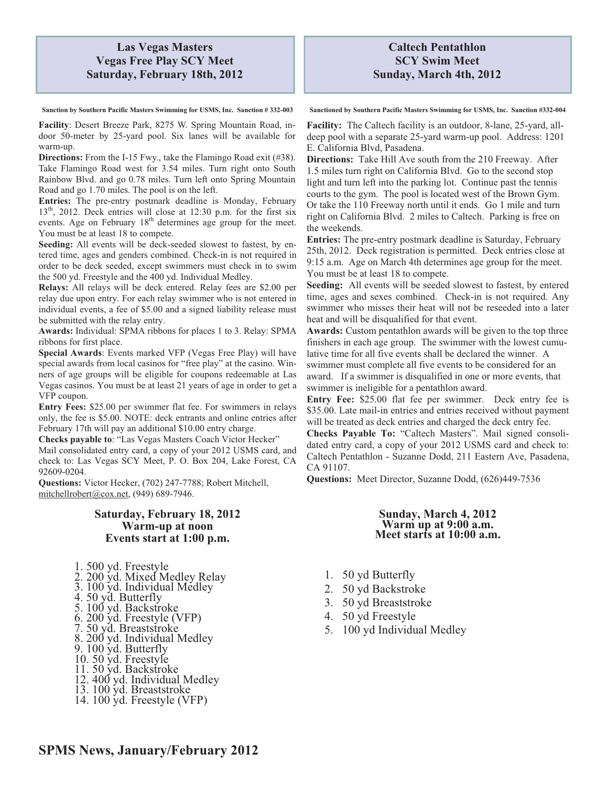# **Las Vegas Masters Vegas Free Play SCY Meet Saturday, February 18th, 2012**

**Sanction by Southern Pacific Masters Swimming for USMS, Inc. Sanction # 332-003** 

**Facility**: Desert Breeze Park, 8275 W. Spring Mountain Road, indoor 50-meter by 25-yard pool. Six lanes will be available for warm-up.

**Directions:** From the I-15 Fwy., take the Flamingo Road exit (#38). Take Flamingo Road west for 3.54 miles. Turn right onto South Rainbow Blvd. and go 0.78 miles. Turn left onto Spring Mountain Road and go 1.70 miles. The pool is on the left.

**Entries:** The pre-entry postmark deadline is Monday, February 13<sup>th</sup>, 2012. Deck entries will close at 12:30 p.m. for the first six events. Age on February  $18<sup>th</sup>$  determines age group for the meet. You must be at least 18 to compete.

**Seeding:** All events will be deck-seeded slowest to fastest, by entered time, ages and genders combined. Check-in is not required in order to be deck seeded, except swimmers must check in to swim the 500 yd. Freestyle and the 400 yd. Individual Medley.

**Relays:** All relays will be deck entered. Relay fees are \$2.00 per relay due upon entry. For each relay swimmer who is not entered in individual events, a fee of \$5.00 and a signed liability release must be submitted with the relay entry.

**Awards:** Individual: SPMA ribbons for places 1 to 3. Relay: SPMA ribbons for first place.

**Special Awards**: Events marked VFP (Vegas Free Play) will have special awards from local casinos for "free play" at the casino. Winners of age groups will be eligible for coupons redeemable at Las Vegas casinos. You must be at least 21 years of age in order to get a VFP coupon.

**Entry Fees:** \$25.00 per swimmer flat fee. For swimmers in relays only, the fee is \$5.00. NOTE: deck entrants and online entries after February 17th will pay an additional \$10.00 entry charge.

**Checks payable to**: "Las Vegas Masters Coach Victor Hecker" Mail consolidated entry card, a copy of your 2012 USMS card, and check to: Las Vegas SCY Meet, P. O. Box 204, Lake Forest, CA 92609-0204.

**Questions:** Victor Hecker, (702) 247-7788; Robert Mitchell, mitchellrobert@cox.net, (949) 689-7946.

## **Saturday, February 18, 2012 Warm-up at noon Events start at 1:00 p.m.**

- 1. 500 yd. Freestyle
- 2. 200 yd. Mixed Medley Relay
- 3. 100 yd. Individual Medley
- 4. 50 yd. Butterfly
- 5. 100 yd. Backstroke
- 6. 200 yd. Freestyle (VFP)
- 7. 50 yd. Breaststroke
- 8. 200 yd. Individual Medley
- 9. 100 yd. Butterfly
- 10. 50 yd. Freestyle
- 11. 50 yd. Backstroke
- 12. 400 yd. Individual Medley
- 13. 100 yd. Breaststroke
- 14. 100 yd. Freestyle (VFP)

**Sanctioned by Southern Pacific Masters Swimming for USMS, Inc. Sanction #332-004** 

**Facility:** The Caltech facility is an outdoor, 8-lane, 25-yard, alldeep pool with a separate 25-yard warm-up pool. Address: 1201 E. California Blvd, Pasadena.

**Directions:** Take Hill Ave south from the 210 Freeway. After 1.5 miles turn right on California Blvd. Go to the second stop light and turn left into the parking lot. Continue past the tennis courts to the gym. The pool is located west of the Brown Gym. Or take the 110 Freeway north until it ends. Go 1 mile and turn right on California Blvd. 2 miles to Caltech. Parking is free on the weekends.

**Entries:** The pre-entry postmark deadline is Saturday, February 25th, 2012. Deck registration is permitted. Deck entries close at 9:15 a.m. Age on March 4th determines age group for the meet. You must be at least 18 to compete.

**Seeding:** All events will be seeded slowest to fastest, by entered time, ages and sexes combined. Check-in is not required. Any swimmer who misses their heat will not be reseeded into a later heat and will be disqualified for that event.

**Awards:** Custom pentathlon awards will be given to the top three finishers in each age group. The swimmer with the lowest cumulative time for all five events shall be declared the winner. A swimmer must complete all five events to be considered for an award. If a swimmer is disqualified in one or more events, that swimmer is ineligible for a pentathlon award.

**Entry Fee:** \$25.00 flat fee per swimmer. Deck entry fee is \$35.00. Late mail-in entries and entries received without payment will be treated as deck entries and charged the deck entry fee.

**Checks Payable To:** "Caltech Masters". Mail signed consolidated entry card, a copy of your 2012 USMS card and check to: Caltech Pentathlon - Suzanne Dodd, 211 Eastern Ave, Pasadena, CA 91107.

**Questions:** Meet Director, Suzanne Dodd, (626)449-7536

#### **Sunday, March 4, 2012 Warm up at 9:00 a.m. Meet starts at 10:00 a.m.**

- 1. 50 yd Butterfly
- 2. 50 yd Backstroke
- 3. 50 yd Breaststroke
- 4. 50 yd Freestyle
- 5. 100 yd Individual Medley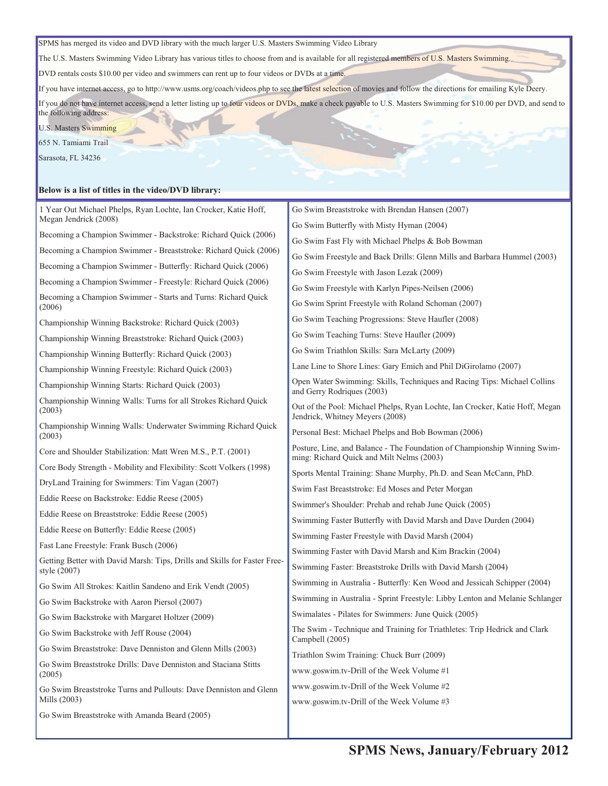SPMS has merged its video and DVD library with the much larger U.S. Masters Swimming Video Library

The U.S. Masters Swimming Video Library has various titles to choose from and is available for all registered members of U.S. Masters Swimming.

DVD rentals costs \$10.00 per video and swimmers can rent up to four videos or DVDs at a time.

If you have internet access, go to http://www.usms.org/coach/videos.php to see the latest selection of movies and follow the directions for emailing Kyle Deery.

If you do not have internet access, send a letter listing up to four videos or DVDs, make a check payable to U.S. Masters Swimming for \$10.00 per DVD, and send to the following address:

U.S. Masters Swimming

655 N. Tamiami Trail

Sarasota, FL 34236

#### **Below is a list of titles in the video/DVD library:**

| 1 Year Out Michael Phelps, Ryan Lochte, Ian Crocker, Katie Hoff,<br>Megan Jendrick (2008) | Go Swim Breaststroke with Brendan Hansen (2007)                                                                         |  |  |
|-------------------------------------------------------------------------------------------|-------------------------------------------------------------------------------------------------------------------------|--|--|
| Becoming a Champion Swimmer - Backstroke: Richard Quick (2006)                            | Go Swim Butterfly with Misty Hyman (2004)                                                                               |  |  |
|                                                                                           | Go Swim Fast Fly with Michael Phelps & Bob Bowman                                                                       |  |  |
| Becoming a Champion Swimmer - Breaststroke: Richard Quick (2006)                          | Go Swim Freestyle and Back Drills: Glenn Mills and Barbara Hummel (2003)                                                |  |  |
| Becoming a Champion Swimmer - Butterfly: Richard Quick (2006)                             | Go Swim Freestyle with Jason Lezak (2009)                                                                               |  |  |
| Becoming a Champion Swimmer - Freestyle: Richard Quick (2006)                             | Go Swim Freestyle with Karlyn Pipes-Neilsen (2006)                                                                      |  |  |
| Becoming a Champion Swimmer - Starts and Turns: Richard Quick<br>(2006)                   | Go Swim Sprint Freestyle with Roland Schoman (2007)                                                                     |  |  |
| Championship Winning Backstroke: Richard Quick (2003)                                     | Go Swim Teaching Progressions: Steve Haufler (2008)                                                                     |  |  |
| Championship Winning Breaststroke: Richard Quick (2003)                                   | Go Swim Teaching Turns: Steve Haufler (2009)                                                                            |  |  |
| Championship Winning Butterfly: Richard Quick (2003)                                      | Go Swim Triathlon Skills: Sara McLarty (2009)                                                                           |  |  |
| Championship Winning Freestyle: Richard Quick (2003)                                      | Lane Line to Shore Lines: Gary Emich and Phil DiGirolamo (2007)                                                         |  |  |
| Championship Winning Starts: Richard Quick (2003)                                         | Open Water Swimming: Skills, Techniques and Racing Tips: Michael Collins<br>and Gerry Rodrigues (2003)                  |  |  |
| Championship Winning Walls: Turns for all Strokes Richard Quick<br>(2003)                 | Out of the Pool: Michael Phelps, Ryan Lochte, Ian Crocker, Katie Hoff, Megan<br>Jendrick, Whitney Meyers (2008)         |  |  |
| Championship Winning Walls: Underwater Swimming Richard Quick<br>(2003)                   | Personal Best: Michael Phelps and Bob Bowman (2006)                                                                     |  |  |
| Core and Shoulder Stabilization: Matt Wren M.S., P.T. (2001)                              | Posture, Line, and Balance - The Foundation of Championship Winning Swim-<br>ming: Richard Quick and Milt Nelms (2003)  |  |  |
| Core Body Strength - Mobility and Flexibility: Scott Volkers (1998)                       | Sports Mental Training: Shane Murphy, Ph.D. and Sean McCann, PhD.                                                       |  |  |
| DryLand Training for Swimmers: Tim Vagan (2007)                                           | Swim Fast Breaststroke: Ed Moses and Peter Morgan                                                                       |  |  |
| Eddie Reese on Backstroke: Eddie Reese (2005)                                             | Swimmer's Shoulder: Prehab and rehab June Quick (2005)                                                                  |  |  |
| Eddie Reese on Breaststroke: Eddie Reese (2005)                                           | Swimming Faster Butterfly with David Marsh and Dave Durden (2004)                                                       |  |  |
| Eddie Reese on Butterfly: Eddie Reese (2005)                                              |                                                                                                                         |  |  |
| Fast Lane Freestyle: Frank Busch (2006)                                                   | Swimming Faster Freestyle with David Marsh (2004)                                                                       |  |  |
| Getting Better with David Marsh: Tips, Drills and Skills for Faster Free-                 | Swimming Faster with David Marsh and Kim Brackin (2004)<br>Swimming Faster: Breaststroke Drills with David Marsh (2004) |  |  |
| style (2007)                                                                              |                                                                                                                         |  |  |
| Go Swim All Strokes: Kaitlin Sandeno and Erik Vendt (2005)                                | Swimming in Australia - Butterfly: Ken Wood and Jessicah Schipper (2004)                                                |  |  |
| Go Swim Backstroke with Aaron Piersol (2007)                                              | Swimming in Australia - Sprint Freestyle: Libby Lenton and Melanie Schlanger                                            |  |  |
| Go Swim Backstroke with Margaret Holtzer (2009)                                           | Swimalates - Pilates for Swimmers: June Quick (2005)                                                                    |  |  |
| Go Swim Backstroke with Jeff Rouse (2004)                                                 | The Swim - Technique and Training for Triathletes: Trip Hedrick and Clark<br>Campbell (2005)                            |  |  |
| Go Swim Breaststroke: Dave Denniston and Glenn Mills (2003)                               | Triathlon Swim Training: Chuck Burr (2009)                                                                              |  |  |
| Go Swim Breaststroke Drills: Dave Denniston and Staciana Stitts<br>(2005)                 | www.goswim.tv-Drill of the Week Volume #1                                                                               |  |  |
| Go Swim Breaststroke Turns and Pullouts: Dave Denniston and Glenn<br>Mills (2003)         | www.goswim.tv-Drill of the Week Volume #2                                                                               |  |  |
| Go Swim Breaststroke with Amanda Beard (2005)                                             | www.goswim.tv-Drill of the Week Volume #3                                                                               |  |  |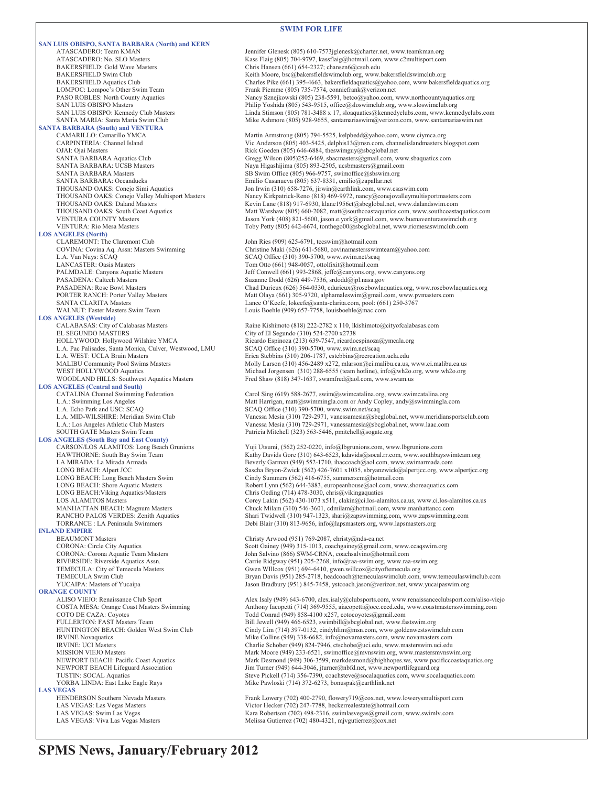#### **SWIM FOR LIFE**

|                                                                                            | <b>SWIM FOR LIFE</b>                                                                                                                                                                  |
|--------------------------------------------------------------------------------------------|---------------------------------------------------------------------------------------------------------------------------------------------------------------------------------------|
| <b>SAN LUIS OBISPO, SANTA BARBARA (North) and KERN</b>                                     |                                                                                                                                                                                       |
| ATASCADERO: Team KMAN                                                                      | Jennifer Glenesk (805) 610-7573jglenesk@charter.net, www.teamkman.org                                                                                                                 |
| ATASCADERO: No. SLO Masters<br><b>BAKERSFIELD: Gold Wave Masters</b>                       | Kass Flaig (805) 704-9797, kassflaig@hotmail.com, www.c2multisport.com<br>Chris Hansen (661) 654-2327; chansen6@csub.edu                                                              |
| <b>BAKERSFIELD Swim Club</b>                                                               | Keith Moore, bsc@bakersfieldswimclub.org, www.bakersfieldswimclub.org                                                                                                                 |
| <b>BAKERSFIELD Aquatics Club</b>                                                           | Charles Pike (661) 395-4663, bakersfieldaquatics@yahoo.com, www.bakersfieldaquatics.org                                                                                               |
| LOMPOC: Lompoc's Other Swim Team                                                           | Frank Piemme (805) 735-7574, conniefrank@verizon.net                                                                                                                                  |
| PASO ROBLES: North County Aquatics<br><b>SAN LUIS OBISPO Masters</b>                       | Nancy Sznejkowski (805) 238-5591, betco@yahoo.com, www.northcountyaquatics.org<br>Philip Yoshida (805) 543-9515, office@sloswimclub.org, www.sloswimclub.org                          |
| SAN LUIS OBISPO: Kennedy Club Masters                                                      | Linda Stimson (805) 781-3488 x 17, sloaquatics@kennedyclubs.com, www.kennedyclubs.com                                                                                                 |
| SANTA MARIA: Santa Maria Swim Club                                                         | Mike Ashmore (805) 928-9655, santamariaswim@verizon.com, www.santamariaswim.net                                                                                                       |
| <b>SANTA BARBARA (South) and VENTURA</b>                                                   |                                                                                                                                                                                       |
| CAMARILLO: Camarillo YMCA<br>CARPINTERIA: Channel Island                                   | Martin Armstrong (805) 794-5525, kelpbedd@yahoo.com, www.ciymca.org<br>Vic Anderson (805) 403-5425, delphis13@msn.com, channelislandmasters.blogspot.com                              |
| OJAI: Ojai Masters                                                                         | Rick Goeden (805) 646-6884, theswimguy@sbcglobal.net                                                                                                                                  |
| SANTA BARBARA Aquatics Club                                                                | Gregg Wilson (805)252-6469, sbacmasters@gmail.com, www.sbaquatics.com                                                                                                                 |
| SANTA BARBARA: UCSB Masters                                                                | Naya Higashijima (805) 893-2505, ucsbmasters@gmail.com                                                                                                                                |
| <b>SANTA BARBARA Masters</b>                                                               | SB Swim Office (805) 966-9757, swimoffice@sbswim.org                                                                                                                                  |
| SANTA BARBARA: Oceanducks<br>THOUSAND OAKS: Conejo Simi Aquatics                           | Emilio Casanueva (805) 637-8331, emilio@zapallar.net<br>Jon Irwin (310) 658-7276, jirwin@earthlink.com, www.csaswim.com                                                               |
| THOUSAND OAKS: Conejo Valley Multisport Masters                                            | Nancy Kirkpatrick-Reno (818) 469-9972, nancy@conejovalleymultisportmasters.com                                                                                                        |
| THOUSAND OAKS: Daland Masters                                                              | Kevin Lane (818) 917-6930, klane1956ct@sbcglobal.net, www.dalandswim.com                                                                                                              |
| THOUSAND OAKS: South Coast Aquatics                                                        | Matt Warshaw (805) 660-2082, matt@southcoastaquatics.com, www.southcoastaquatics.com                                                                                                  |
| <b>VENTURA COUNTY Masters</b>                                                              | Jason York (408) 821-5600, jason.e.york@gmail.com, www.buenaventuraswimclub.org                                                                                                       |
| <b>VENTURA: Rio Mesa Masters</b><br><b>LOS ANGELES (North)</b>                             | Toby Petty (805) 642-6674, tonthego00@sbcglobal.net, www.riomesaswimclub.com                                                                                                          |
| CLAREMONT: The Claremont Club                                                              | John Ries (909) 625-6791, tccswim@hotmail.com                                                                                                                                         |
| COVINA: Covina Aq. Assn: Masters Swimming                                                  | Christine Maki (626) 641-5680, covinamastersswimteam@yahoo.com                                                                                                                        |
| L.A. Van Nuys: SCAQ                                                                        | SCAQ Office (310) 390-5700, www.swim.net/scaq                                                                                                                                         |
| LANCASTER: Oasis Masters                                                                   | Tom Otto (661) 948-0057, ottolfixit@hotmail.com<br>Jeff Conwell (661) 993-2868, jeffc@canyons.org, www.canyons.org                                                                    |
| PALMDALE: Canyons Aquatic Masters<br>PASADENA: Caltech Masters                             | Suzanne Dodd (626) 449-7536, srdodd@jpl.nasa.gov                                                                                                                                      |
| PASADENA: Rose Bowl Masters                                                                | Chad Durieux (626) 564-0330, cdurieux@rosebowlaquatics.org, www.rosebowlaquatics.org                                                                                                  |
| <b>PORTER RANCH: Porter Valley Masters</b>                                                 | Matt Olaya (661) 305-9720, alphamaleswim@gmail.com, www.pvmasters.com                                                                                                                 |
| <b>SANTA CLARITA Masters</b>                                                               | Lance O'Keefe, lokeefe@santa-clarita.com, pool: (661) 250-3767                                                                                                                        |
| WALNUT: Faster Masters Swim Team<br><b>LOS ANGELES (Westside)</b>                          | Louis Boehle (909) 657-7758, louisboehle@mac.com                                                                                                                                      |
| CALABASAS: City of Calabasas Masters                                                       | Raine Kishimoto (818) 222-2782 x 110, lkishimoto@cityofcalabasas.com                                                                                                                  |
| EL SEGUNDO MASTERS                                                                         | City of El Segundo (310) 524-2700 x2738                                                                                                                                               |
| HOLLYWOOD: Hollywood Wilshire YMCA                                                         | Ricardo Espinoza (213) 639-7547, ricardoespinoza@ymcala.org                                                                                                                           |
| L.A. Pac Palisades, Santa Monica, Culver, Westwood, LMU<br>L.A. WEST: UCLA Bruin Masters   | SCAQ Office (310) 390-5700, www.swim.net/scaq<br>Erica Stebbins (310) 206-1787, estebbins@recreation.ucla.edu                                                                         |
| <b>MALIBU Community Pool Swims Masters</b>                                                 | Molly Larson (310) 456-2489 x272, mlarson@ci.malibu.ca.us, www.ci.malibu.ca.us                                                                                                        |
| WEST HOLLYWOOD Aquatics                                                                    | Michael Jorgensen (310) 288-6555 (team hotline), info@wh2o.org, www.wh2o.org                                                                                                          |
| WOODLAND HILLS: Southwest Aquatics Masters                                                 | Fred Shaw (818) 347-1637, swamfred@aol.com, www.swam.us                                                                                                                               |
| <b>LOS ANGELES (Central and South)</b>                                                     |                                                                                                                                                                                       |
| CATALINA Channel Swimming Federation<br>L.A.: Swimming Los Angeles                         | Carol Sing (619) 588-2677, swim@swimcatalina.org, www.swimcatalina.org<br>Matt Harrigan, matt@swimmingla.com or Andy Copley, andy@swimmingla.com                                      |
| L.A. Echo Park and USC: SCAQ                                                               | SCAQ Office (310) 390-5700, www.swim.net/scaq                                                                                                                                         |
| L.A. MID-WILSHIRE: Meridian Swim Club                                                      | Vanessa Mesia (310) 729-2971, vanessamesia@sbcglobal.net, www.meridiansportsclub.com                                                                                                  |
| L.A.: Los Angeles Athletic Club Masters                                                    | Vanessa Mesia (310) 729-2971, vanessamesia@sbcglobal.net, www.laac.com                                                                                                                |
| SOUTH GATE Masters Swim Team                                                               | Patricia Mitchell (323) 563-5446, pmitchell@sogate.org                                                                                                                                |
| <b>LOS ANGELES (South Bay and East County)</b><br>CARSON/LOS ALAMITOS: Long Beach Grunions | Yuji Utsumi, (562) 252-0220, info@lbgrunions.com, www.lbgrunions.com                                                                                                                  |
| HAWTHORNE: South Bay Swim Team                                                             | Kathy Davids Gore (310) 643-6523, kdavids@socal.rr.com, www.southbayswimteam.org                                                                                                      |
| LA MIRADA: La Mirada Armada                                                                | Beverly Garman (949) 552-1710, ihaccoach@aol.com, www.swimarmada.com                                                                                                                  |
| LONG BEACH: Alpert JCC                                                                     | Sascha Bryon-Zwick (562) 426-7601 x1035, sbryanzwick@alpertjcc.org, www.alpertjcc.org                                                                                                 |
| LONG BEACH: Long Beach Masters Swim<br>LONG BEACH: Shore Aquatic Masters                   | Cindy Summers (562) 416-6755, summerscm@hotmail.com<br>Robert Lynn (562) 644-3883, europeanhouse@aol.com, www.shoreaquatics.com                                                       |
| LONG BEACH: Viking Aquatics/Masters                                                        | Chris Oeding $(714)$ 478-3030, chris@vikingaquatics                                                                                                                                   |
| <b>LOS ALAMITOS Masters</b>                                                                | Corey Lakin (562) 430-1073 x511, clakin@ci.los-alamitos.ca.us, www.ci.los-alamitos.ca.us                                                                                              |
| MANHATTAN BEACH: Magnum Masters                                                            | Chuck Milam (310) 546-3601, cdmilam@hotmail.com, www.manhattance.com                                                                                                                  |
| RANCHO PALOS VERDES: Zenith Aquatics<br>TORRANCE : LA Peninsula Swimmers                   | Shari Twidwell (310) 947-1323, shari@zapswimming.com, www.zapswimming.com<br>Debi Blair (310) 813-9656, info@lapsmasters.org, www.lapsmasters.org                                     |
| <b>INLAND EMPIRE</b>                                                                       |                                                                                                                                                                                       |
| <b>BEAUMONT Masters</b>                                                                    | Christy Arwood (951) 769-2087, christy@nds-ca.net                                                                                                                                     |
| CORONA: Circle City Aquatics                                                               | Scott Gainey (949) 315-1013, coachgainey@gmail.com, www.ccaqswim.org                                                                                                                  |
| CORONA: Corona Aquatic Team Masters                                                        | John Salvino (866) SWM-CRNA, coachsalvino@hotmail.com                                                                                                                                 |
| RIVERSIDE: Riverside Aquatics Assn.<br>TEMECULA: City of Temecula Masters                  | Carrie Ridgway (951) 205-2268, info@raa-swim.org, www.raa-swim.org<br>Gwen WIllcox (951) 694-6410, gwen.willcox@cityoftemecula.org                                                    |
| TEMECULA Swim Club                                                                         | Bryan Davis (951) 285-2718, headcoach@temeculaswimclub.com, www.temeculaswimclub.co                                                                                                   |
| YUCAIPA: Masters of Yucaipa                                                                | Jason Bradbury (951) 845-7458, ystcoach.jason@verizon.net, www.yucaipaswim.org                                                                                                        |
| <b>ORANGE COUNTY</b>                                                                       |                                                                                                                                                                                       |
| ALISO VIEJO: Renaissance Club Sport<br>COSTA MESA: Orange Coast Masters Swimming           | Alex Isaly (949) 643-6700, alex.isaly@clubsports.com, www.renaissanceclubsport.com/aliso-v<br>Anthony Iacopetti (714) 369-9555, aiacopetti@occ.cccd.edu, www.coastmastersswimming.con |
| COTO DE CAZA: Coyotes                                                                      | Todd Conrad (949) 858-4100 x257, cotocoyotes@gmail.com                                                                                                                                |
| FULLERTON: FAST Masters Team                                                               | Bill Jewell (949) 466-6523, swimbill@sbcglobal.net, www.fastswim.org                                                                                                                  |
| HUNTINGTON BEACH: Golden West Swim Club                                                    | Cindy Lim (714) 397-0132, cindyhlim@msn.com, www.goldenwestswimclub.com                                                                                                               |
| <b>IRVINE</b> Novaquatics                                                                  | Mike Collins (949) 338-6682, info@novamasters.com, www.novamasters.com                                                                                                                |
| <b>IRVINE: UCI Masters</b><br><b>MISSION VIEJO Masters</b>                                 | Charlie Schober (949) 824-7946, ctschobe@uci.edu, www.masterswim.uci.edu<br>Mark Moore (949) 233-6521, swimoffice@mvnswim.org, www.mastersmvnswim.org                                 |
| NEWPORT BEACH: Pacific Coast Aquatics                                                      | Mark Desmond (949) 306-3599, markdesmond@highhopes.ws, www.pacificcoastaquatics.org                                                                                                   |
| NEWPORT BEACH Lifeguard Association                                                        | Jim Turner (949) 644-3046, jturner@nbfd.net, www.newportlifeguard.org                                                                                                                 |
| TUSTIN: SOCAL Aquatics                                                                     | Steve Pickell (714) 356-7390, coachsteve@socalaquatics.com, www.socalaquatics.com                                                                                                     |
| YORBA LINDA: East Lake Eagle Rays<br><b>LAS VEGAS</b>                                      | Mike Pawloski (714) 372-6273, bonuspak@earthlink.net                                                                                                                                  |
| HENDERSON Southern Nevada Masters                                                          | Frank Lowery (702) 400-2790, flowery719@cox.net, www.lowerysmultisport.com                                                                                                            |
| LAS VEGAS: Las Vegas Masters                                                               | Victor Hecker (702) 247-7788, heckerrealestate@hotmail.com                                                                                                                            |
| LAS VEGAS: Swim Las Vegas                                                                  | Kara Robertson (702) 498-2316 swimbswegas@gmail.com www.swimby.com                                                                                                                    |

Office  $(310)$  390-5700, www.swim.net/scaq sa Mesia (310) 729-2971, vanessamesia@sbcglobal.net, www.meridiansportsclub.com sa Mesia (310) 729-2971, vanessamesia@sbcglobal.net, www.laac.com a Mitchell (323) 563-5446, pmitchell@sogate.org (tsumi, (562) 252-0220, info@lbgrunions.com, www.lbgrunions.com Davids Gore (310) 643-6523, kdavids@socal.rr.com, www.southbayswimteam.org v Garman (949) 552-1710, ihaccoach@aol.com, www.swimarmada.com Bryon-Zwick (562) 426-7601 x1035, sbryanzwick@alpertjcc.org, www.alpertjcc.org Summers (562) 416-6755, summers cm@hotmail.com Lynn (562) 644-3883, europeanhouse@aol.com, www.shoreaquatics.com Deding  $(714)$  478-3030, chris $@v$ ikingaquatics Lakin (562) 430-1073 x511, clakin @ci.los-alamitos.ca.us, www.ci.los-alamitos.ca.us Milam (310) 546-3601, cdmilam@hotmail.com, www.manhattancc.com widwell (310) 947-1323, shari@zapswimming.com, www.zapswimming.com  $Bla$ ir (310) 813-9656, info@lapsmasters.org, www.lapsmasters.org / Arwood (951) 769-2087, christy@nds-ca.net Gainey (949) 315-1013, coachgainey@gmail.com, www.ccaqswim.org alvino (866) SWM-CRNA, coachsalvino@hotmail.com Ridgway (951) 205-2268, info@raa-swim.org, www.raa-swim.org WIllcox (951) 694-6410, gwen.willcox@cityoftemecula.org Davis (951) 285-2718, headcoach@temeculaswimclub.com, www.temeculaswimclub.com Bradbury (951) 845-7458, ystcoach.jason@verizon.net, www.yucaipaswim.org saly (949) 643-6700, alex.isaly@clubsports.com, www.renaissanceclubsport.com/aliso-viejo ny Iacopetti (714) 369-9555, aiacopetti@occ.cccd.edu, www.coastmastersswimming.com Conrad (949) 858-4100 x257, cotocoyotes@gmail.com Collins (949) 338-6682, info@novamasters.com, www.novamasters.com e Schober (949) 824-7946, ctschobe@uci.edu, www.masterswim.uci.edu Moore (949) 233-6521, swimoffice@mvnswim.org, www.mastersmvnswim.org Desmond (949) 306-3599, markdesmond@highhopes.ws, www.pacificcoastaquatics.org newror (949) 644-3046, jturner@nbfd.net, www.newportlifeguard.org Pickell (714) 356-7390, coachsteve@socalaquatics.com, www.socalaquatics.com Pawloski (714) 372-6273, bonuspak@earthlink.net Lowery (702) 400-2790, flowery719@cox.net, www.lowerysmultisport.com Hecker (702) 247-7788, heckerrealestate@hotmail.com LAS VEGAS: Swim Las Vegas <br>
LAS VEGAS: Viva Las Vegas Masters **Kara Robertson (702) 498-2316**, swimlasvegas@gmail.com, www.swimlv.com<br>
Melissa Gutierrez (702) 480-4321, mjvgutierrez@cox.net Melissa Gutierrez (702) 480-4321, mjvgutierrez@cox.net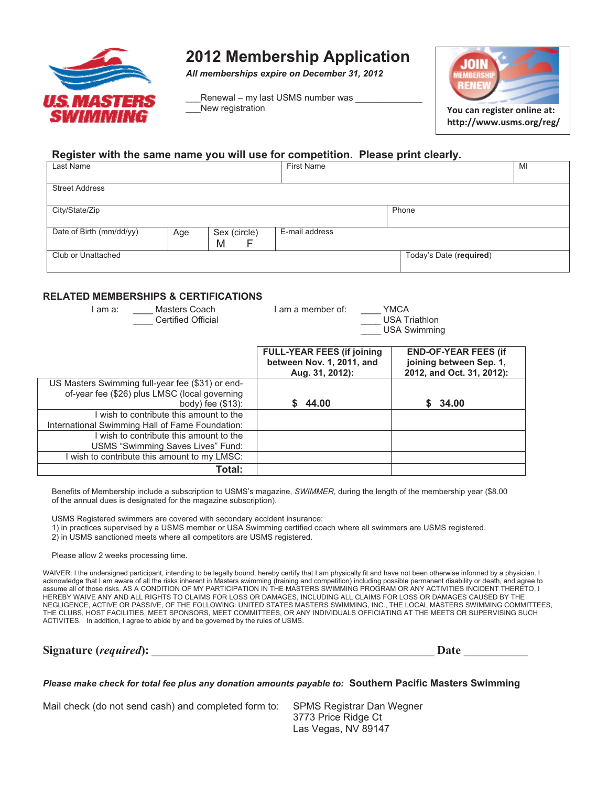

# **2012 Membership Application**

*All memberships expire on December 31, 2012* 

Renewal – my last USMS number was New registration



**http://www.usms.org/reg/**

# **Register with the same name you will use for competition. Please print clearly.**

| Last Name                |     |                        | <b>First Name</b> |                         | MI |
|--------------------------|-----|------------------------|-------------------|-------------------------|----|
| <b>Street Address</b>    |     |                        |                   |                         |    |
| City/State/Zip           |     |                        |                   | Phone                   |    |
| Date of Birth (mm/dd/yy) | Age | Sex (circle)<br>M<br>F | E-mail address    |                         |    |
| Club or Unattached       |     |                        |                   | Today's Date (required) |    |
|                          |     |                        |                   |                         |    |

### **RELATED MEMBERSHIPS & CERTIFICATIONS**

| Masters Coach<br>am a:<br><b>Certified Official</b> | am a member of:<br><b>YMCA</b><br><b>USA Triathlon</b><br><b>USA Swimming</b> |                                                      |  |
|-----------------------------------------------------|-------------------------------------------------------------------------------|------------------------------------------------------|--|
|                                                     | <b>FULL-YEAR FEES (if joining)</b>                                            | <b>END-OF-YEAR FEES (if</b>                          |  |
|                                                     | between Nov. 1, 2011, and<br>Aug. 31, 2012):                                  | joining between Sep. 1.<br>2012, and Oct. 31, 2012): |  |
| US Masters Swimming full-year fee (\$31) or end-    |                                                                               |                                                      |  |
| of-year fee (\$26) plus LMSC (local governing       |                                                                               |                                                      |  |
| body) fee $(\$13)$ :                                | 44.00                                                                         | \$34.00                                              |  |
| wish to contribute this amount to the               |                                                                               |                                                      |  |
| International Swimming Hall of Fame Foundation:     |                                                                               |                                                      |  |
| I wish to contribute this amount to the             |                                                                               |                                                      |  |
| USMS "Swimming Saves Lives" Fund:                   |                                                                               |                                                      |  |
| I wish to contribute this amount to my LMSC:        |                                                                               |                                                      |  |
| Total:                                              |                                                                               |                                                      |  |

Benefits of Membership include a subscription to USMS's magazine, *SWIMMER*, during the length of the membership year (\$8.00 of the annual dues is designated for the magazine subscription).

USMS Registered swimmers are covered with secondary accident insurance:

1) in practices supervised by a USMS member or USA Swimming certified coach where all swimmers are USMS registered.

2) in USMS sanctioned meets where all competitors are USMS registered.

Please allow 2 weeks processing time.

WAIVER: I the undersigned participant, intending to be legally bound, hereby certify that I am physically fit and have not been otherwise informed by a physician. I acknowledge that I am aware of all the risks inherent in Masters swimming (training and competition) including possible permanent disability or death, and agree to assume all of those risks. AS A CONDITION OF MY PARTICIPATION IN THE MASTERS SWIMMING PROGRAM OR ANY ACTIVITIES INCIDENT THERETO, I HEREBY WAIVE ANY AND ALL RIGHTS TO CLAIMS FOR LOSS OR DAMAGES, INCLUDING ALL CLAIMS FOR LOSS OR DAMAGES CAUSED BY THE NEGLIGENCE, ACTIVE OR PASSIVE, OF THE FOLLOWING: UNITED STATES MASTERS SWIMMING, INC., THE LOCAL MASTERS SWIMMING COMMITTEES, THE CLUBS, HOST FACILITIES, MEET SPONSORS, MEET COMMITTEES, OR ANY INDIVIDUALS OFFICIATING AT THE MEETS OR SUPERVISING SUCH ACTIVITES. In addition, I agree to abide by and be governed by the rules of USMS.

| Signature (required): | a)atr |
|-----------------------|-------|
|-----------------------|-------|

*Please make check for total fee plus any donation amounts payable to:* **Southern Pacific Masters Swimming** 

Mail check (do not send cash) and completed form to: SPMS Registrar Dan Wegner

3773 Price Ridge Ct Las Vegas, NV 89147